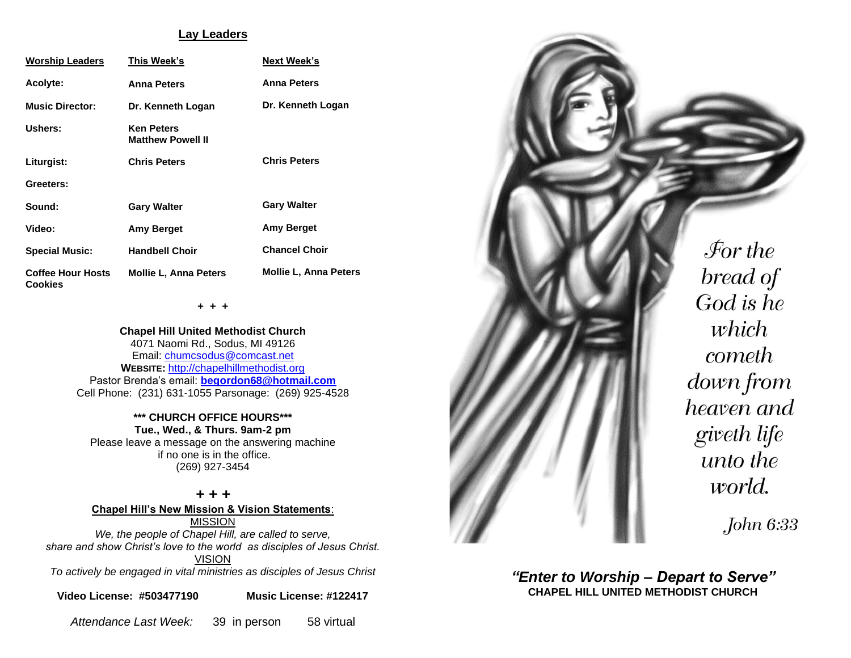#### **Lay Leaders**

| <b>Worship Leaders</b>                     | This Week's                                   | <b>Next Week's</b>           |
|--------------------------------------------|-----------------------------------------------|------------------------------|
| <b>Acolyte:</b>                            | <b>Anna Peters</b>                            | <b>Anna Peters</b>           |
| <b>Music Director:</b>                     | Dr. Kenneth Logan                             | Dr. Kenneth Logan            |
| Ushers:                                    | <b>Ken Peters</b><br><b>Matthew Powell II</b> |                              |
| Liturgist:                                 | <b>Chris Peters</b>                           | <b>Chris Peters</b>          |
| Greeters:                                  |                                               |                              |
| Sound:                                     | <b>Gary Walter</b>                            | <b>Gary Walter</b>           |
| Video:                                     | <b>Amy Berget</b>                             | Amy Berget                   |
| <b>Special Music:</b>                      | <b>Handbell Choir</b>                         | <b>Chancel Choir</b>         |
| <b>Coffee Hour Hosts</b><br><b>Cookies</b> | <b>Mollie L. Anna Peters</b>                  | <b>Mollie L. Anna Peters</b> |

**+ + +**

**Chapel Hill United Methodist Church** 4071 Naomi Rd., Sodus, MI 49126 Email: [chumcsodus@comcast.net](mailto:chumcsodus@comcast.net) **WEBSITE:** [http://chapelhillmethodist.org](http://chapelhillmethodist.org/) Pastor Brenda's email: **[begordon68@hotmail.com](mailto:begordon68@hotmail.com)** Cell Phone: (231) 631-1055 Parsonage: (269) 925-4528

**\*\*\* CHURCH OFFICE HOURS\*\*\* Tue., Wed., & Thurs. 9am-2 pm** Please leave a message on the answering machine

if no one is in the office. (269) 927-3454

*+ + +* **Chapel Hill's New Mission & Vision Statements**: MISSION *We, the people of Chapel Hill, are called to serve, share and show Christ's love to the world as disciples of Jesus Christ.* VISION *To actively be engaged in vital ministries as disciples of Jesus Christ*

**Video License: #503477190 Music License: #122417**

*Attendance Last Week:* 39 in person 58 virtual



 $\mathcal{F}$ or the bread of God is he which cometh down from heaven and giveth life unto the world.

John 6:33

*"Enter to Worship – Depart to Serve"* **CHAPEL HILL UNITED METHODIST CHURCH**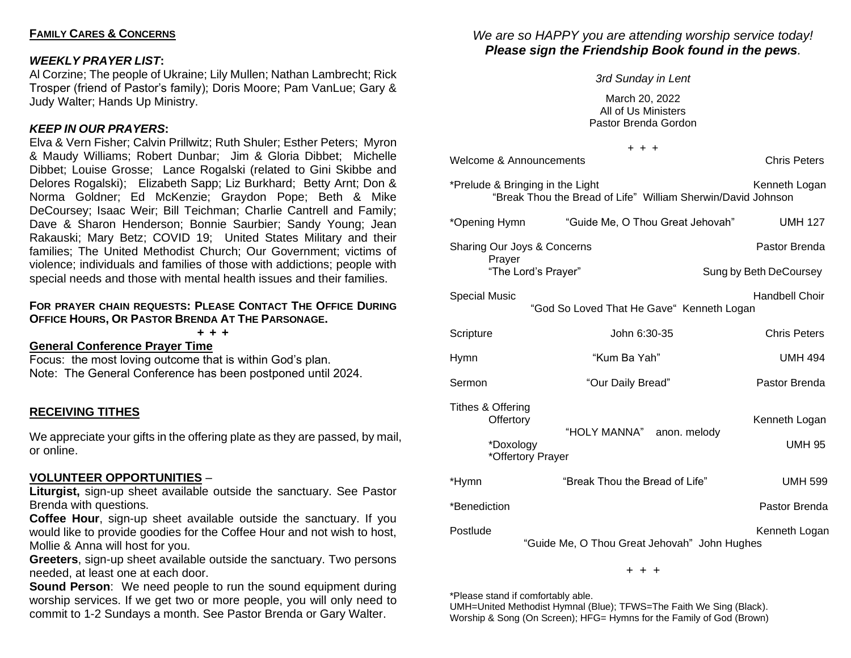# *WEEKLY PRAYER LIST***:**

Al Corzine; The people of Ukraine; Lily Mullen; Nathan Lambrecht; Rick Trosper (friend of Pastor's family); Doris Moore; Pam VanLue; Gary & Judy Walter; Hands Up Ministry.

# *KEEP IN OUR PRAYERS***:**

Elva & Vern Fisher; Calvin Prillwitz; Ruth Shuler; Esther Peters; Myron & Maudy Williams; Robert Dunbar; Jim & Gloria Dibbet; Michelle Dibbet; Louise Grosse; Lance Rogalski (related to Gini Skibbe and Delores Rogalski); Elizabeth Sapp; Liz Burkhard; Betty Arnt; Don & Norma Goldner; Ed McKenzie; Graydon Pope; Beth & Mike DeCoursey; Isaac Weir; Bill Teichman; Charlie Cantrell and Family; Dave & Sharon Henderson; Bonnie Saurbier; Sandy Young; Jean Rakauski; Mary Betz; COVID 19; United States Military and their families; The United Methodist Church; Our Government; victims of violence; individuals and families of those with addictions; people with special needs and those with mental health issues and their families.

### **FOR PRAYER CHAIN REQUESTS: PLEASE CONTACT THE OFFICE DURING OFFICE HOURS, OR PASTOR BRENDA AT THE PARSONAGE.**

**+ + +**

**General Conference Prayer Time**

Focus: the most loving outcome that is within God's plan. Note: The General Conference has been postponed until 2024.

# **RECEIVING TITHES**

We appreciate your gifts in the offering plate as they are passed, by mail, or online.

### **VOLUNTEER OPPORTUNITIES** –

**Liturgist,** sign-up sheet available outside the sanctuary. See Pastor Brenda with questions.

**Coffee Hour**, sign-up sheet available outside the sanctuary. If you would like to provide goodies for the Coffee Hour and not wish to host, Mollie & Anna will host for you.

**Greeters**, sign-up sheet available outside the sanctuary. Two persons needed, at least one at each door.

**Sound Person:** We need people to run the sound equipment during worship services. If we get two or more people, you will only need to commit to 1-2 Sundays a month. See Pastor Brenda or Gary Walter.

# *We are so HAPPY you are attending worship service today! Please sign the Friendship Book found in the pews.*

*3rd Sunday in Lent*

March 20, 2022 All of Us Ministers Pastor Brenda Gordon

|                                             | $+ + +$                                                                                          |                                |
|---------------------------------------------|--------------------------------------------------------------------------------------------------|--------------------------------|
| Welcome & Announcements                     |                                                                                                  | <b>Chris Peters</b>            |
|                                             | *Prelude & Bringing in the Light<br>"Break Thou the Bread of Life" William Sherwin/David Johnson | Kenneth Logan                  |
| *Opening Hymn                               | "Guide Me, O Thou Great Jehovah"                                                                 | <b>UMH 127</b>                 |
|                                             | Sharing Our Joys & Concerns                                                                      | Pastor Brenda                  |
| Prayer                                      | "The Lord's Prayer"                                                                              | Sung by Beth DeCoursey         |
| <b>Special Music</b>                        | "God So Loved That He Gave" Kenneth Logan                                                        | <b>Handbell Choir</b>          |
| Scripture                                   | John 6:30-35                                                                                     | <b>Chris Peters</b>            |
| <b>Hymn</b>                                 | "Kum Ba Yah"                                                                                     | <b>UMH 494</b>                 |
| Sermon                                      | "Our Daily Bread"                                                                                | Pastor Brenda                  |
| Tithes & Offering<br>Offertory<br>*Doxology | "HOLY MANNA" anon. melody<br>*Offertory Prayer                                                   | Kenneth Logan<br><b>UMH 95</b> |
| *Hymn                                       | "Break Thou the Bread of Life"                                                                   | <b>UMH 599</b>                 |
| *Benediction                                |                                                                                                  | Pastor Brenda                  |
| Postlude                                    | "Guide Me, O Thou Great Jehovah" John Hughes                                                     | Kenneth Logan                  |

+ + +

\*Please stand if comfortably able.

UMH=United Methodist Hymnal (Blue); TFWS=The Faith We Sing (Black). Worship & Song (On Screen); HFG= Hymns for the Family of God (Brown)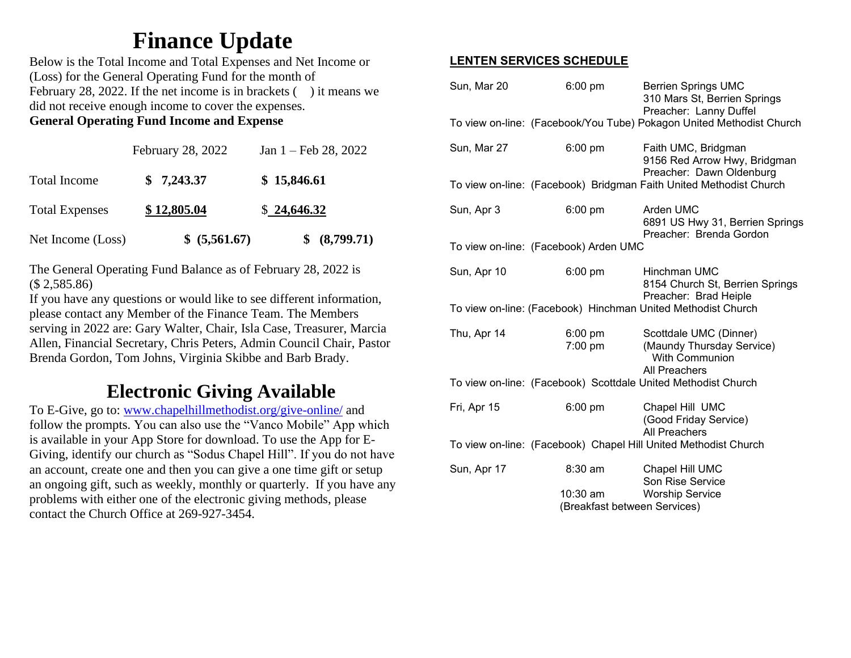# **Finance Update**

Below is the Total Income and Total Expenses and Net Income or (Loss) for the General Operating Fund for the month of February 28, 2022. If the net income is in brackets  $($ ) it means we did not receive enough income to cover the expenses. **General Operating Fund Income and Expense**

|                       | February 28, 2022 | Jan $1 - \text{Feb } 28, 2022$ |
|-----------------------|-------------------|--------------------------------|
| Total Income          | \$7,243.37        | \$15,846.61                    |
| <b>Total Expenses</b> | \$12,805.04       | \$24,646.32                    |
| Net Income (Loss)     | \$ (5,561.67)     | \$ (8,799.71)                  |

The General Operating Fund Balance as of February 28, 2022 is (\$ 2,585.86)

If you have any questions or would like to see different information, please contact any Member of the Finance Team. The Members serving in 2022 are: Gary Walter, Chair, Isla Case, Treasurer, Marcia Allen, Financial Secretary, Chris Peters, Admin Council Chair, Pastor Brenda Gordon, Tom Johns, Virginia Skibbe and Barb Brady.

# **Electronic Giving Available**

To E-Give, go to: [www.chapelhillmethodist.org/give-online/](http://www.chapelhillmethodist.org/give-online/) and follow the prompts. You can also use the "Vanco Mobile" App which is available in your App Store for download. To use the App for E-Giving, identify our church as "Sodus Chapel Hill". If you do not have an account, create one and then you can give a one time gift or setup an ongoing gift, such as weekly, monthly or quarterly. If you have any problems with either one of the electronic giving methods, please contact the Church Office at 269-927-3454.

# **LENTEN SERVICES SCHEDULE**

|                                                              | Sun, Mar 20                           | $6:00 \text{ pm}$              | <b>Berrien Springs UMC</b><br>310 Mars St, Berrien Springs<br>Preacher: Lanny Duffel          |
|--------------------------------------------------------------|---------------------------------------|--------------------------------|-----------------------------------------------------------------------------------------------|
|                                                              |                                       |                                | To view on-line: (Facebook/You Tube) Pokagon United Methodist Church                          |
|                                                              | Sun, Mar 27                           | 6:00 pm                        | Faith UMC, Bridgman<br>9156 Red Arrow Hwy, Bridgman<br>Preacher: Dawn Oldenburg               |
|                                                              |                                       |                                | To view on-line: (Facebook) Bridgman Faith United Methodist Church                            |
|                                                              | Sun, Apr 3                            | 6:00 pm                        | Arden UMC<br>6891 US Hwy 31, Berrien Springs<br>Preacher: Brenda Gordon                       |
|                                                              | To view on-line: (Facebook) Arden UMC |                                |                                                                                               |
|                                                              | Sun, Apr 10                           | 6:00 pm                        | Hinchman UMC<br>8154 Church St, Berrien Springs<br>Preacher: Brad Heiple                      |
| To view on-line: (Facebook) Hinchman United Methodist Church |                                       |                                |                                                                                               |
|                                                              | Thu, Apr 14                           | $6:00 \text{ pm}$<br>$7:00$ pm | Scottdale UMC (Dinner)<br>(Maundy Thursday Service)<br><b>With Communion</b><br>All Preachers |
|                                                              |                                       |                                | To view on-line: (Facebook) Scottdale United Methodist Church                                 |
|                                                              | Fri, Apr 15                           | $6:00$ pm                      | Chapel Hill UMC<br>(Good Friday Service)<br><b>All Preachers</b>                              |
|                                                              |                                       |                                | To view on-line: (Facebook) Chapel Hill United Methodist Church                               |
|                                                              | Sun, Apr 17                           | 8:30 am                        | Chapel Hill UMC<br>Son Rise Service                                                           |
|                                                              |                                       | $10:30$ am                     | <b>Worship Service</b>                                                                        |
|                                                              |                                       |                                | (Breakfast between Services)                                                                  |